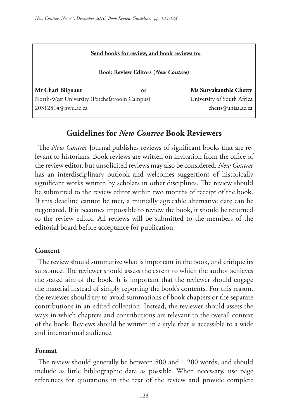|  |  |  | Send books for review, and book reviews to: |  |
|--|--|--|---------------------------------------------|--|
|  |  |  |                                             |  |

**Book Review Editors (***New Contree***)** 

**Mr Charl Blignaut or Ms Suryakanthie Chetty** North-West University (Potchefstroom Campus)University of South Africa 20312814@nwu.ac.za chetts@unisa.ac.za

## **Guidelines for** *New Contree* **Book Reviewers**

The *New Contree* Journal publishes reviews of significant books that are relevant to historians. Book reviews are written on invitation from the office of the review editor, but unsolicited reviews may also be considered. *New Contree*  has an interdisciplinary outlook and welcomes suggestions of historically significant works written by scholars in other disciplines. The review should be submitted to the review editor within two months of receipt of the book. If this deadline cannot be met, a mutually agreeable alternative date can be negotiated. If it becomes impossible to review the book, it should be returned to the review editor. All reviews will be submitted to the members of the editorial board before acceptance for publication.

### **Content**

The review should summarize what is important in the book, and critique its substance. The reviewer should assess the extent to which the author achieves the stated aim of the book. It is important that the reviewer should engage the material instead of simply reporting the book's contents. For this reason, the reviewer should try to avoid summations of book chapters or the separate contributions in an edited collection. Instead, the reviewer should assess the ways in which chapters and contributions are relevant to the overall context of the book. Reviews should be written in a style that is accessible to a wide and international audience.

### **Format**

The review should generally be between 800 and 1 200 words, and should include as little bibliographic data as possible. When necessary, use page references for quotations in the text of the review and provide complete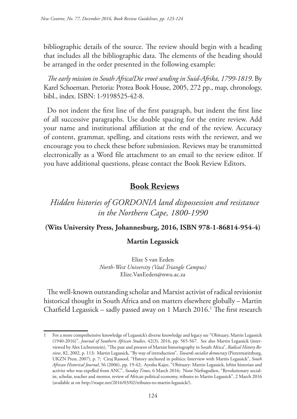bibliographic details of the source. The review should begin with a heading that includes all the bibliographic data. The elements of the heading should be arranged in the order presented in the following example:

*The early mission in South Africa/Die vroeë sending in Suid-Afrika, 1799-1819*. By Karel Schoeman. Pretoria: Protea Book House, 2005, 272 pp., map, chronology, bibl., index. ISBN: 1-9198525-42-8.

Do not indent the first line of the first paragraph, but indent the first line of all successive paragraphs. Use double spacing for the entire review. Add your name and institutional affiliation at the end of the review. Accuracy of content, grammar, spelling, and citations rests with the reviewer, and we encourage you to check these before submission. Reviews may be transmitted electronically as a Word file attachment to an email to the review editor. If you have additional questions, please contact the Book Review Editors.

# **Book Reviews**

*Hidden histories of GORDONIA land dispossession and resistance in the Northern Cape, 1800-1990*

## **(Wits University Press, Johannesburg, 2016, ISBN 978-1-86814-954-4)**

## **Martin Legassick**

Elize S van Eeden *North-West University (Vaal Triangle Campus)* Elize.VanEeden@nwu.ac.za

The well-known outstanding scholar and Marxist activist of radical revisionist historical thought in South Africa and on matters elsewhere globally – Martin Chatfield Legassick – sadly passed away on 1 March 2016.<sup>1</sup> The first research

<sup>1</sup> For a more comprehensive knowledge of Legassick's diverse knowledge and legacy see "Obituary, Martin Legassick (1940-2016)", *Journal of Southern African Studies*, 42(3), 2016, pp. 565-567. See also Martin Legassick (interviewed by Alex Lichtenstein), "The past and present of Marxist historiography in South Africa", *Radical History Review*, 82, 2002, p. 113; Martin Legassick, "By way of introduction", *Towards socialist democracy* (Pietermaritzburg, UKZN Press, 2007), p. 7; Ciraj Rassool, "History anchored in politics: Interview with Martin Legassick", *South African Historical Journal*, 56 (2006), pp. 19-42; Ayesha Kajee, "Obituary: Martin Legassick, leftist historian and activist who was expelled from ANC", *Sunday Times*, 6 March 2016; Noor Nieftagodien, "Revolutionary socialist, scholar, teacher and mentor, review of African political economy, tributes to Martin Legassick", 2 March 2016 (available at on http://roape.net/2016/03/02/tributes-to-martin-legassick/).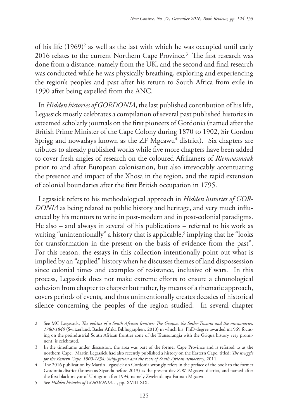of his life (1969)2 as well as the last with which he was occupied until early 2016 relates to the current Northern Cape Province.3 The first research was done from a distance, namely from the UK, and the second and final research was conducted while he was physically breathing, exploring and experiencing the region's peoples and past after his return to South Africa from exile in 1990 after being expelled from the ANC.

In *Hidden histories of GORDONIA*, the last published contribution of his life, Legassick mostly celebrates a compilation of several past published histories in esteemed scholarly journals on the first pioneers of Gordonia (named after the British Prime Minister of the Cape Colony during 1870 to 1902, Sir Gordon Sprigg and nowadays known as the ZF  $Mgcawu^4$  district). Six chapters are tributes to already published works while five more chapters have been added to cover fresh angles of research on the coloured Afrikaners of *Riemvasmaak* prior to and after European colonisation, but also irrevocably accentuating the presence and impact of the Xhosa in the region, and the rapid extension of colonial boundaries after the first British occupation in 1795.

Legassick refers to his methodological approach in *Hidden histories of GOR-DONIA* as being related to public history and heritage, and very much influenced by his mentors to write in post-modern and in post-colonial paradigms. He also – and always in several of his publications – referred to his work as writing "unintentionally" a history that is applicable,<sup>5</sup> implying that he "looks for transformation in the present on the basis of evidence from the past". For this reason, the essays in this collection intentionally point out what is implied by an "applied" history when he discusses themes of land dispossession since colonial times and examples of resistance, inclusive of wars. In this process, Legassick does not make extreme efforts to ensure a chronological cohesion from chapter to chapter but rather, by means of a thematic approach, covers periods of events, and thus unintentionally creates decades of historical silence concerning the peoples of the region studied. In several chapter

<sup>2</sup> See MC Legassick, *The politics of a South African frontier: The Griqua, the Sotho-Tswana and the missionaries, 1780-1840* (Switzerland, Basler Afrika Bibliographen, 2010) in which his PhD-degree awarded in1969 focusing on the preindustrial South African frontier zone of the Transorangia with the Griqua history very prominent, is celebrated.

<sup>3</sup> In the timeframe under discussion, the area was part of the former Cape Province and is referred to as the northern Cape. Martin Legassick had also recently published a history on the Eastern Cape, titled: *The struggle for the Eastern Cape, 1800-1854: Subjugation and the roots of South African democracy*, 2011.

<sup>4</sup> The 2016 publication by Martin Legassick on Gordonia wrongly refers in the preface of the book to the former Gordonia district (known as Siyanda before 2013) as the present day Z.W. Mgcawu district, and named after the first black mayor of Upington after 1994, namely Zwelentlanga Fatman Mgcawu.

<sup>5</sup> See *Hidden histories of GORDONIA*…, pp. XVIII-XIX.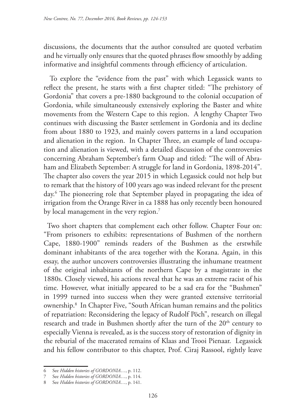discussions, the documents that the author consulted are quoted verbatim and he virtually only ensures that the quoted phrases flow smoothly by adding informative and insightful comments through efficiency of articulation.

 To explore the "evidence from the past" with which Legassick wants to reflect the present, he starts with a first chapter titled: "The prehistory of Gordonia" that covers a pre-1880 background to the colonial occupation of Gordonia, while simultaneously extensively exploring the Baster and white movements from the Western Cape to this region. A lengthy Chapter Two continues with discussing the Baster settlement in Gordonia and its decline from about 1880 to 1923, and mainly covers patterns in a land occupation and alienation in the region. In Chapter Three, an example of land occupation and alienation is viewed, with a detailed discussion of the controversies concerning Abraham September's farm Ouap and titled: "The will of Abraham and Elizabeth September: A struggle for land in Gordonia, 1898-2014". The chapter also covers the year 2015 in which Legassick could not help but to remark that the history of 100 years ago was indeed relevant for the present day.6 The pioneering role that September played in propagating the idea of irrigation from the Orange River in ca 1888 has only recently been honoured by local management in the very region.<sup>7</sup>

Two short chapters that complement each other follow. Chapter Four on: "From prisoners to exhibits: representations of Bushmen of the northern Cape, 1880-1900" reminds readers of the Bushmen as the erstwhile dominant inhabitants of the area together with the Korana. Again, in this essay, the author uncovers controversies illustrating the inhumane treatment of the original inhabitants of the northern Cape by a magistrate in the 1880s. Closely viewed, his actions reveal that he was an extreme racist of his time. However, what initially appeared to be a sad era for the "Bushmen" in 1999 turned into success when they were granted extensive territorial ownership.8 In Chapter Five, "South African human remains and the politics of repatriation: Reconsidering the legacy of Rudolf Pöch", research on illegal research and trade in Bushmen shortly after the turn of the 20<sup>th</sup> century to especially Vienna is revealed, as is the success story of restoration of dignity in the reburial of the macerated remains of Klaas and Trooi Pienaar. Legassick and his fellow contributor to this chapter, Prof. Ciraj Rassool, rightly leave

<sup>6</sup> See *Hidden histories of GORDONIA*…, p. 112.

<sup>7</sup> See *Hidden histories of GORDONIA*…, p. 114.

<sup>8</sup> See *Hidden histories of GORDONIA*…, p. 141.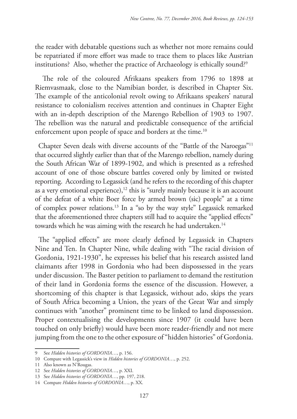the reader with debatable questions such as whether not more remains could be repatriated if more effort was made to trace them to places like Austrian institutions? Also, whether the practice of Archaeology is ethically sound?<sup>9</sup>

 The role of the coloured Afrikaans speakers from 1796 to 1898 at Riemvasmaak, close to the Namibian border, is described in Chapter Six. The example of the anticolonial revolt owing to Afrikaans speakers' natural resistance to colonialism receives attention and continues in Chapter Eight with an in-depth description of the Marengo Rebellion of 1903 to 1907. The rebellion was the natural and predictable consequence of the artificial enforcement upon people of space and borders at the time.<sup>10</sup>

Chapter Seven deals with diverse accounts of the "Battle of the Naroegas"11 that occurred slightly earlier than that of the Marengo rebellion, namely during the South African War of 1899-1902, and which is presented as a refreshed account of one of those obscure battles covered only by limited or twisted reporting. According to Legassick (and he refers to the recording of this chapter as a very emotional experience), $12$  this is "surely mainly because it is an account of the defeat of a white Boer force by armed brown (sic) people" at a time of complex power relations.13 In a "so by the way style" Legassick remarked that the aforementioned three chapters still had to acquire the "applied effects" towards which he was aiming with the research he had undertaken.<sup>14</sup>

The "applied effects" are more clearly defined by Legassick in Chapters Nine and Ten. In Chapter Nine, while dealing with "The racial division of Gordonia, 1921-1930", he expresses his belief that his research assisted land claimants after 1998 in Gordonia who had been dispossessed in the years under discussion. The Baster petition to parliament to demand the restitution of their land in Gordonia forms the essence of the discussion. However, a shortcoming of this chapter is that Legassick, without ado, skips the years of South Africa becoming a Union, the years of the Great War and simply continues with "another" prominent time to be linked to land dispossession. Proper contextualising the developments since 1907 (it could have been touched on only briefly) would have been more reader-friendly and not mere jumping from the one to the other exposure of "hidden histories" of Gordonia.

<sup>9</sup> See *Hidden histories of GORDONIA*…, p. 156.

<sup>10</sup> Compare with Legassick's view in *Hidden histories of GORDONIA*…, p. 252.

<sup>11</sup> Also known as N'Rougas.

<sup>12</sup> See *Hidden histories of GORDONIA*…, p. XXI.

<sup>13</sup> See *Hidden histories of GORDONIA*…, pp. 197, 218.

<sup>14</sup> Compare *Hidden histories of GORDONIA*…, p. XX.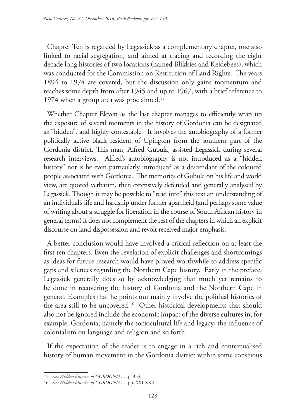Chapter Ten is regarded by Legassick as a complementary chapter, one also linked to racial segregation, and aimed at tracing and recording the eight decade long histories of two locations (named Blikkies and Keidebees), which was conducted for the Commission on Restitution of Land Rights. The years 1894 to 1974 are covered, but the discussion only gains momentum and reaches some depth from after 1945 and up to 1967, with a brief reference to 1974 when a group area was proclaimed.15

Whether Chapter Eleven as the last chapter manages to efficiently wrap up the exposure of several moments in the history of Gordonia can be designated as "hidden", and highly contestable. It involves the autobiography of a former politically active black resident of Upington from the southern part of the Gordonia district. This man, Alfred Gubula, assisted Legassick during several research interviews. Alfred's autobiography is not introduced as a "hidden history" nor is he even particularly introduced as a descendant of the coloured people associated with Gordonia. The memories of Gubula on his life and world view, are quoted verbatim, then extensively defended and generally analysed by Legassick. Though it may be possible to "read into" this text an understanding of an individual's life and hardship under former apartheid (and perhaps some value of writing about a struggle for liberation in the course of South African history in general terms) it does not complement the rest of the chapters in which an explicit discourse on land dispossession and revolt received major emphasis.

A better conclusion would have involved a critical reflection on at least the first ten chapters. Even the revelation of explicit challenges and shortcomings as ideas for future research would have proved worthwhile to address specific gaps and silences regarding the Northern Cape history. Early in the preface, Legassick generally does so by acknowledging that much yet remains to be done in recovering the history of Gordonia and the Northern Cape in general. Examples that he points out mainly involve the political histories of the area still to be uncovered.16 Other historical developments that should also not be ignored include the economic impact of the diverse cultures in, for example, Gordonia, namely the sociocultural life and legacy; the influence of colonialism on language and religion and so forth.

If the expectation of the reader is to engage in a rich and contextualised history of human movement in the Gordonia district within some conscious

<sup>15</sup> See *Hidden histories of GORDONIA*…, p. 334.

<sup>16</sup> See *Hidden histories of GORDONIA*…, pp. XXI-XXII.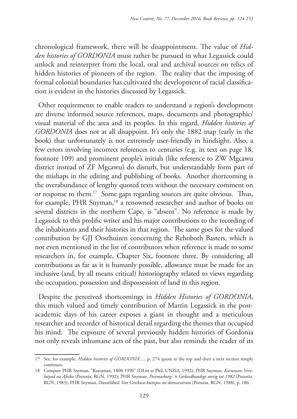chronological framework, there will be disappointment. The value of *Hidden histories of GORDONIA* must rather be pursued in what Legassick could unlock and reinterpret from the local, oral and archival sources on relics of hidden histories of pioneers of the region. The reality that the imposing of formal colonial boundaries has cultivated the development of racial classification is evident in the histories discussed by Legassick.

Other requirements to enable readers to understand a region's development are diverse informed source references, maps, documents and photographic/ visual material of the area and its peoples. In this regard, *Hidden histories of GORDONIA* does not at all disappoint. It's only the 1882 map (early in the book) that unfortunately is not extremely user-friendly in hindsight. Also, a few errors involving incorrect references to centuries (e.g. in text on page 18, footnote 109) and prominent people's initials (like reference to ZW Mgcawu district instead of ZF Mgcawu) do disturb, but understandably form part of the mishaps in the editing and publishing of books. Another shortcoming is the overabundance of lengthy quoted texts without the necessary comment on or response to them.17 Some gaps regarding sources are quite obvious. Thus, for example, PHR Snyman,<sup>18</sup> a renowned researcher and author of books on several districts in the northern Cape, is "absent". No reference is made by Legassick to this prolific writer and his major contributions to the recording of the inhabitants and their histories in that region. The same goes for the valued contribution by GJJ Oosthuizen concerning the Rehoboth Basters, which is not even mentioned in the list of contributors when reference is made to some researchers in, for example, Chapter Six, footnote three. By considering all contributions as far as it is humanly possible, allowance must be made for an inclusive (and, by all means critical) historiography related to views regarding the occupation, possession and dispossession of land in this region.

Despite the perceived shortcomings in *Hidden Histories of GORDONIA*, this much valued and timely contribution of Martin Legassick in the postacademic days of his career exposes a giant in thought and a meticulous researcher and recorder of historical detail regarding the themes that occupied his mind. The exposure of several previously hidden histories of Gordonia not only reveals inhumane acts of the past, but also reminds the reader of its

<sup>17</sup> See, for example, *Hidden histories of GORDONIA*…, p. 274 quote at the top and then a next section simply continues.

<sup>18</sup> Compare PHR Snyman, "Kuruman, 1800-1990" (DLitt et Phil, UNISA, 1992); PHR Snyman, *Kuruman: Vervloëpad na Afrika* (Pretoria, RGN, 1992); PHR Snyman, *Postmasburg: 'n Geskiedkundige oorsig tot 1982* (Pretoria, RGN, 1983); PHR Snyman, *Daniëlskuil: Van Griekwa-buitepos tot dienssentrum* (Pretoria, RGN, 1988), p. 186.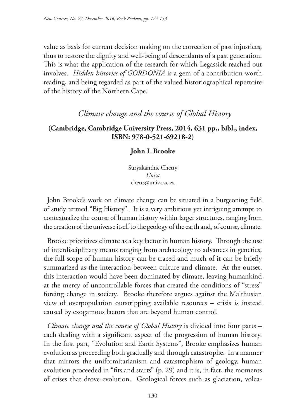value as basis for current decision making on the correction of past injustices, thus to restore the dignity and well-being of descendants of a past generation. This is what the application of the research for which Legassick reached out involves. *Hidden histories of GORDONIA* is a gem of a contribution worth reading, and being regarded as part of the valued historiographical repertoire of the history of the Northern Cape.

# *Climate change and the course of Global History*

## **(Cambridge, Cambridge University Press, 2014, 631 pp., bibl., index, ISBN: 978-0-521-69218-2)**

## **John L Brooke**

Suryakanthie Chetty *Unisa* chetts@unisa.ac.za

John Brooke's work on climate change can be situated in a burgeoning field of study termed "Big History". It is a very ambitious yet intriguing attempt to contextualize the course of human history within larger structures, ranging from the creation of the universe itself to the geology of the earth and, of course, climate.

Brooke prioritizes climate as a key factor in human history. Through the use of interdisciplinary means ranging from archaeology to advances in genetics, the full scope of human history can be traced and much of it can be briefly summarized as the interaction between culture and climate. At the outset, this interaction would have been dominated by climate, leaving humankind at the mercy of uncontrollable forces that created the conditions of "stress" forcing change in society. Brooke therefore argues against the Malthusian view of overpopulation outstripping available resources – crisis is instead caused by exogamous factors that are beyond human control.

*Climate change and the course of Global History* is divided into four parts – each dealing with a significant aspect of the progression of human history. In the first part, "Evolution and Earth Systems", Brooke emphasizes human evolution as proceeding both gradually and through catastrophe. In a manner that mirrors the uniformitarianism and catastrophism of geology, human evolution proceeded in "fits and starts" (p. 29) and it is, in fact, the moments of crises that drove evolution. Geological forces such as glaciation, volca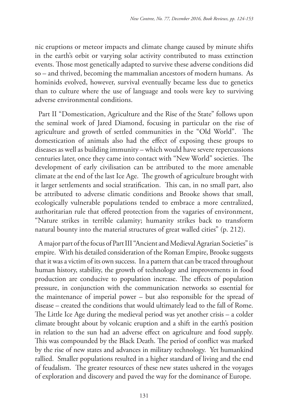nic eruptions or meteor impacts and climate change caused by minute shifts in the earth's orbit or varying solar activity contributed to mass extinction events. Those most genetically adapted to survive these adverse conditions did so – and thrived, becoming the mammalian ancestors of modern humans. As hominids evolved, however, survival eventually became less due to genetics than to culture where the use of language and tools were key to surviving adverse environmental conditions.

Part II "Domestication, Agriculture and the Rise of the State" follows upon the seminal work of Jared Diamond, focusing in particular on the rise of agriculture and growth of settled communities in the "Old World". The domestication of animals also had the effect of exposing these groups to diseases as well as building immunity – which would have severe repercussions centuries later, once they came into contact with "New World" societies. The development of early civilisation can be attributed to the more amenable climate at the end of the last Ice Age. The growth of agriculture brought with it larger settlements and social stratification. This can, in no small part, also be attributed to adverse climatic conditions and Brooke shows that small, ecologically vulnerable populations tended to embrace a more centralized, authoritarian rule that offered protection from the vagaries of environment, "Nature strikes in terrible calamity; humanity strikes back to transform natural bounty into the material structures of great walled cities" (p. 212).

A major part of the focus of Part III "Ancient and Medieval Agrarian Societies" is empire. With his detailed consideration of the Roman Empire, Brooke suggests that it was a victim of its own success. In a pattern that can be traced throughout human history, stability, the growth of technology and improvements in food production are conducive to population increase. The effects of population pressure, in conjunction with the communication networks so essential for the maintenance of imperial power – but also responsible for the spread of disease – created the conditions that would ultimately lead to the fall of Rome. The Little Ice Age during the medieval period was yet another crisis – a colder climate brought about by volcanic eruption and a shift in the earth's position in relation to the sun had an adverse effect on agriculture and food supply. This was compounded by the Black Death. The period of conflict was marked by the rise of new states and advances in military technology. Yet humankind rallied. Smaller populations resulted in a higher standard of living and the end of feudalism. The greater resources of these new states ushered in the voyages of exploration and discovery and paved the way for the dominance of Europe.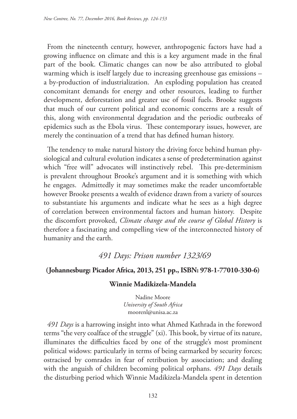From the nineteenth century, however, anthropogenic factors have had a growing influence on climate and this is a key argument made in the final part of the book. Climatic changes can now be also attributed to global warming which is itself largely due to increasing greenhouse gas emissions – a by-production of industrialization. An exploding population has created concomitant demands for energy and other resources, leading to further development, deforestation and greater use of fossil fuels. Brooke suggests that much of our current political and economic concerns are a result of this, along with environmental degradation and the periodic outbreaks of epidemics such as the Ebola virus. These contemporary issues, however, are merely the continuation of a trend that has defined human history.

The tendency to make natural history the driving force behind human physiological and cultural evolution indicates a sense of predetermination against which "free will" advocates will instinctively rebel. This pre-determinism is prevalent throughout Brooke's argument and it is something with which he engages. Admittedly it may sometimes make the reader uncomfortable however Brooke presents a wealth of evidence drawn from a variety of sources to substantiate his arguments and indicate what he sees as a high degree of correlation between environmental factors and human history. Despite the discomfort provoked, *Climate change and the course of Global History* is therefore a fascinating and compelling view of the interconnected history of humanity and the earth.

## *491 Days: Prison number 1323/69*

### **(Johannesburg: Picador Africa, 2013, 251 pp., ISBN: 978-1-77010-330-6)**

### **Winnie Madikizela-Mandela**

Nadine Moore *University of South Africa* moorenl@unisa.ac.za

*491 Days* is a harrowing insight into what Ahmed Kathrada in the foreword terms "the very coalface of the struggle" (xi). This book, by virtue of its nature, illuminates the difficulties faced by one of the struggle's most prominent political widows: particularly in terms of being earmarked by security forces; ostracised by comrades in fear of retribution by association; and dealing with the anguish of children becoming political orphans. *491 Days* details the disturbing period which Winnie Madikizela-Mandela spent in detention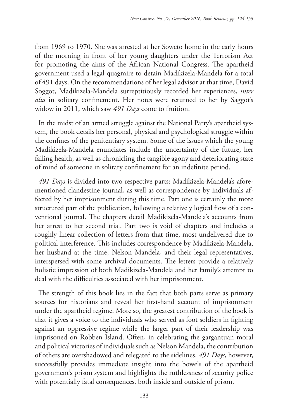from 1969 to 1970. She was arrested at her Soweto home in the early hours of the morning in front of her young daughters under the Terrorism Act for promoting the aims of the African National Congress. The apartheid government used a legal quagmire to detain Madikizela-Mandela for a total of 491 days. On the recommendations of her legal advisor at that time, David Soggot, Madikizela-Mandela surreptitiously recorded her experiences, *inter alia* in solitary confinement. Her notes were returned to her by Saggot's widow in 2011, which saw *491 Days* come to fruition.

In the midst of an armed struggle against the National Party's apartheid system, the book details her personal, physical and psychological struggle within the confines of the penitentiary system. Some of the issues which the young Madikizela-Mandela enunciates include the uncertainty of the future, her failing health, as well as chronicling the tangible agony and deteriorating state of mind of someone in solitary confinement for an indefinite period.

*491 Days* is divided into two respective parts: Madikizela-Mandela's aforementioned clandestine journal, as well as correspondence by individuals affected by her imprisonment during this time. Part one is certainly the more structured part of the publication, following a relatively logical flow of a conventional journal. The chapters detail Madikizela-Mandela's accounts from her arrest to her second trial. Part two is void of chapters and includes a roughly linear collection of letters from that time, most undelivered due to political interference. This includes correspondence by Madikizela-Mandela, her husband at the time, Nelson Mandela, and their legal representatives, interspersed with some archival documents. The letters provide a relatively holistic impression of both Madikizela-Mandela and her family's attempt to deal with the difficulties associated with her imprisonment.

The strength of this book lies in the fact that both parts serve as primary sources for historians and reveal her first-hand account of imprisonment under the apartheid regime. More so, the greatest contribution of the book is that it gives a voice to the individuals who served as foot soldiers in fighting against an oppressive regime while the larger part of their leadership was imprisoned on Robben Island. Often, in celebrating the gargantuan moral and political victories of individuals such as Nelson Mandela, the contribution of others are overshadowed and relegated to the sidelines. *491 Days*, however, successfully provides immediate insight into the bowels of the apartheid government's prison system and highlights the ruthlessness of security police with potentially fatal consequences, both inside and outside of prison.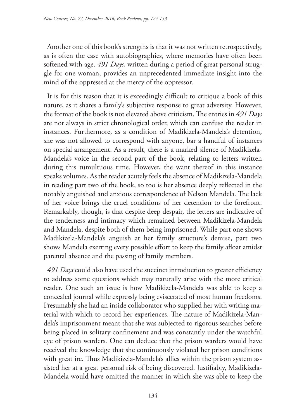Another one of this book's strengths is that it was not written retrospectively, as is often the case with autobiographies, where memories have often been softened with age. *491 Days*, written during a period of great personal struggle for one woman, provides an unprecedented immediate insight into the mind of the oppressed at the mercy of the oppressor.

It is for this reason that it is exceedingly difficult to critique a book of this nature, as it shares a family's subjective response to great adversity. However, the format of the book is not elevated above criticism. The entries in *491 Days* are not always in strict chronological order, which can confuse the reader in instances. Furthermore, as a condition of Madikizela-Mandela's detention, she was not allowed to correspond with anyone, bar a handful of instances on special arrangement. As a result, there is a marked silence of Madikizela-Mandela's voice in the second part of the book, relating to letters written during this tumultuous time. However, the want thereof in this instance speaks volumes. As the reader acutely feels the absence of Madikizela-Mandela in reading part two of the book, so too is her absence deeply reflected in the notably anguished and anxious correspondence of Nelson Mandela. The lack of her voice brings the cruel conditions of her detention to the forefront. Remarkably, though, is that despite deep despair, the letters are indicative of the tenderness and intimacy which remained between Madikizela-Mandela and Mandela, despite both of them being imprisoned. While part one shows Madikizela-Mandela's anguish at her family structure's demise, part two shows Mandela exerting every possible effort to keep the family afloat amidst parental absence and the passing of family members.

*491 Days* could also have used the succinct introduction to greater efficiency to address some questions which may naturally arise with the more critical reader. One such an issue is how Madikizela-Mandela was able to keep a concealed journal while expressly being eviscerated of most human freedoms. Presumably she had an inside collaborator who supplied her with writing material with which to record her experiences. The nature of Madikizela-Mandela's imprisonment meant that she was subjected to rigorous searches before being placed in solitary confinement and was constantly under the watchful eye of prison warders. One can deduce that the prison warders would have received the knowledge that she continuously violated her prison conditions with great ire. Thus Madikizela-Mandela's allies within the prison system assisted her at a great personal risk of being discovered. Justifiably, Madikizela-Mandela would have omitted the manner in which she was able to keep the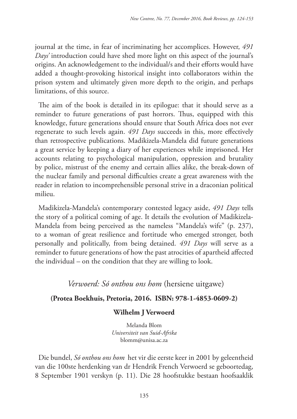journal at the time, in fear of incriminating her accomplices. However, *491 Days'* introduction could have shed more light on this aspect of the journal's origins. An acknowledgement to the individual/s and their efforts would have added a thought-provoking historical insight into collaborators within the prison system and ultimately given more depth to the origin, and perhaps limitations, of this source.

The aim of the book is detailed in its epilogue: that it should serve as a reminder to future generations of past horrors. Thus, equipped with this knowledge, future generations should ensure that South Africa does not ever regenerate to such levels again. *491 Days* succeeds in this, more effectively than retrospective publications. Madikizela-Mandela did future generations a great service by keeping a diary of her experiences while imprisoned. Her accounts relating to psychological manipulation, oppression and brutality by police, mistrust of the enemy and certain allies alike, the break-down of the nuclear family and personal difficulties create a great awareness with the reader in relation to incomprehensible personal strive in a draconian political milieu.

Madikizela-Mandela's contemporary contested legacy aside, *491 Days* tells the story of a political coming of age. It details the evolution of Madikizela-Mandela from being perceived as the nameless "Mandela's wife" (p. 237), to a woman of great resilience and fortitude who emerged stronger, both personally and politically, from being detained. *491 Days* will serve as a reminder to future generations of how the past atrocities of apartheid affected the individual – on the condition that they are willing to look.

## *Verwoerd: Só onthou ons hom* (hersiene uitgawe)

### **(Protea Boekhuis, Pretoria, 2016. ISBN: 978-1-4853-0609-2)**

### **Wilhelm J Verwoerd**

Melanda Blom *Universiteit van Suid-Afrika* blomm@unisa.ac.za

Die bundel, *Só onthou ons hom* het vir die eerste keer in 2001 by geleentheid van die 100ste herdenking van dr Hendrik French Verwoerd se geboortedag, 8 September 1901 verskyn (p. 11). Die 28 hoofstukke bestaan hoofsaaklik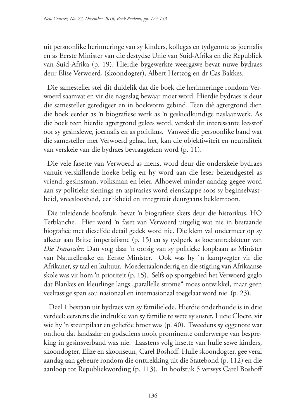uit persoonlike herinneringe van sy kinders, kollegas en tydgenote as joernalis en as Eerste Minister van die destydse Unie van Suid-Afrika en die Republiek van Suid-Afrika (p. 19). Hierdie bygewerkte weergawe bevat nuwe bydraes deur Elise Verwoerd, (skoondogter), Albert Hertzog en dr Cas Bakkes.

Die samesteller stel dit duidelik dat die boek die herinneringe rondom Verwoerd saamvat en vir die nageslag bewaar moet word. Hierdie bydraes is deur die samesteller geredigeer en in boekvorm gebind. Teen diè agtergrond dien die boek eerder as 'n biografiese werk as 'n geskiedkundige naslaanwerk. As die boek teen hierdie agtergrond gelees word, verskaf dit interessante leesstof oor sy gesinslewe, joernalis en as politikus. Vanweë die persoonlike band wat die samesteller met Verwoerd gehad het, kan die objektiwiteit en neutraliteit van verskeie van die bydraes bevraagteken word (p. 11).

Die vele fasette van Verwoerd as mens, word deur die onderskeie bydraes vanuit verskillende hoeke belig en hy word aan die leser bekendgestel as vriend, gesinsman, volksman en leier. Alhoewel minder aandag gegee word aan sy politieke sienings en aspirasies word eienskappe soos sy beginselvastheid, vreesloosheid, eerlikheid en integriteit deurgaans beklemtoon.

Die inleidende hoofstuk, bevat 'n biografiese skets deur die historikus, HO Terblanche. Hier word 'n faset van Verwoerd uitgelig wat nie in bestaande biografieë met dieselfde detail gedek word nie. Die klem val ondermeer op sy afkeur aan Britse imperialisme (p. 15) en sy tydperk as koerantredakteur van *Die Transvaler.* Dan volg daar 'n oorsig van sy politieke loopbaan as Minister van Naturellesake en Eerste Minister. Ook was hy `n kampvegter vir die Afrikaner, sy taal en kultuur. Moedertaalonderrig en die stigting van Afrikaanse skole was vir hom 'n prioriteit (p. 15). Selfs op sportgebied het Verwoerd geglo dat Blankes en kleurlinge langs "parallelle strome" moes ontwikkel, maar geen veelrassige span sou nasionaal en internasionaal toegelaat word nie (p. 23).

 Deel 1 bestaan uit bydraes van sy familielede. Hierdie onderhoude is in drie verdeel: eerstens die indrukke van sy familie te wete sy suster, Lucie Cloete, vir wie hy 'n steunpilaar en geliefde broer was (p. 40). Tweedens sy eggenote wat onthou dat landsake en godsdiens nooit prominente onderwerpe van bespreking in gesinsverband was nie. Laastens volg insette van hulle sewe kinders, skoondogter, Elize en skoonseun, Carel Boshoff. Hulle skoondogter, gee veral aandag aan gebeure rondom die onttrekking uit die Statebond (p. 112) en die aanloop tot Republiekwording (p. 113). In hoofstuk 5 verwys Carel Boshoff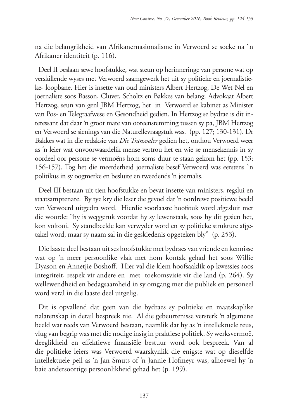na die belangrikheid van Afrikanernasionalisme in Verwoerd se soeke na `n Afrikaner identiteit (p. 116).

Deel II beslaan sewe hoofstukke, wat steun op herinneringe van persone wat op verskillende wyses met Verwoerd saamgewerk het uit sy politieke en joernalistieke- loopbane. Hier is insette van oud ministers Albert Hertzog, De Wet Nel en joernaliste soos Basson, Cluver, Scholtz en Bakkes van belang. Advokaat Albert Hertzog, seun van genl JBM Hertzog, het in Verwoerd se kabinet as Minister van Pos- en Telegraafwese en Gesondheid gedien. In Hertzog se bydrae is dit interessant dat daar 'n groot mate van ooreenstemming tussen sy pa, JBM Hertzog en Verwoerd se sienings van die Naturellevraagstuk was. (pp. 127; 130-131). Dr Bakkes wat in die redaksie van *Die Transvaler* gedien het, onthou Verwoerd weer as 'n leier wat onvoorwaardelik mense vertrou het en wie se mensekennis in sy oordeel oor persone se vermoëns hom soms duur te staan gekom het (pp. 153; 156-157). Tog het die meerderheid joernaliste besef Verwoerd was eerstens `n politikus in sy oogmerke en besluite en tweedends 'n joernalis.

Deel III bestaan uit tien hoofstukke en bevat insette van ministers, regslui en staatsamptenare. By tye kry die leser die gevoel dat 'n oordrewe positiewe beeld van Verwoerd uitgedra word. Hierdie voorlaaste hoofstuk word afgesluit met die woorde: "hy is weggeruk voordat hy sy lewenstaak, soos hy dit gesien het, kon voltooi. Sy standbeelde kan verwyder word en sy politieke strukture afgetakel word, maar sy naam sal in die geskiedenis opgeteken bly" (p. 253).

Die laaste deel bestaan uit ses hoofstukke met bydraes van vriende en kennisse wat op 'n meer persoonlike vlak met hom kontak gehad het soos Willie Dyason en Annetjie Boshoff. Hier val die klem hoofsaaklik op kwessies soos integriteit, respek vir andere en met toekomsvisie vir die land (p. 264). Sy wellewendheid en bedagsaamheid in sy omgang met die publiek en personeel word veral in die laaste deel uitgelig.

Dit is opvallend dat geen van die bydraes sy politieke en maatskaplike nalatenskap in detail bespreek nie. Al die gebeurtenisse versterk 'n algemene beeld wat reeds van Verwoerd bestaan, naamlik dat hy as 'n intellektuele reus, vlug van begrip was met die nodige insig in praktiese politiek. Sy werksvermoë, deeglikheid en effektiewe finansiële bestuur word ook bespreek. Van al die politieke leiers was Verwoerd waarskynlik die enigste wat op dieselfde intellektuele peil as 'n Jan Smuts of 'n Jannie Hofmeyr was, alhoewel hy 'n baie andersoortige persoonlikheid gehad het (p. 199).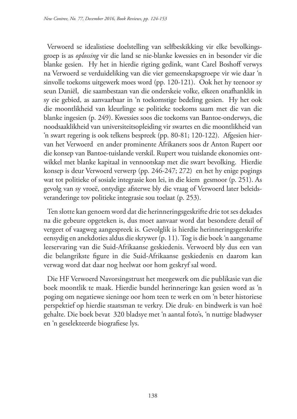Verwoerd se idealistiese doelstelling van selfbeskikking vir elke bevolkingsgroep is as *oplossing* vir die land se nie-blanke kwessies en in besonder vir die blanke gesien. Hy het in hierdie rigting gedink, want Carel Boshoff verwys na Verwoerd se verduideliking van die vier gemeenskapsgroepe vir wie daar 'n sinvolle toekoms uitgewerk moes word (pp. 120-121). Ook het hy teenoor sy seun Daniël, die saambestaan van die onderskeie volke, elkeen onafhanklik in sy eie gebied, as aanvaarbaar in 'n toekomstige bedeling gesien. Hy het ook die moontlikheid van kleurlinge se politieke toekoms saam met die van die blanke ingesien (p. 249). Kwessies soos die toekoms van Bantoe-onderwys, die noodsaaklikheid van universiteitsopleiding vir swartes en die moontlikheid van 'n swart regering is ook telkens bespreek (pp. 80-81; 120-122). Afgesien hiervan het Verwoerd en ander prominente Afrikaners soos dr Anton Rupert oor die konsep van Bantoe-tuislande verskil. Rupert wou tuislande ekonomies ontwikkel met blanke kapitaal in vennootskap met die swart bevolking. Hierdie konsep is deur Verwoerd verwerp (pp. 246-247; 272) en het hy enige pogings wat tot politieke of sosiale integrasie kon lei, in die kiem gesmoor (p. 251). As gevolg van sy vroeë, ontydige afsterwe bly die vraag of Verwoerd later beleidsveranderinge tov politieke integrasie sou toelaat (p. 253).

Ten slotte kan genoem word dat die herinneringsgeskrifte drie tot ses dekades na die gebeure opgeteken is, dus moet aanvaar word dat besondere detail of vergeet of vaagweg aangespreek is. Gevolglik is hierdie herinneringsgerskrifte eensydig en anekdoties aldus die skrywer (p. 11). Tog is die boek 'n aangename leeservaring van die Suid-Afrikaanse geskiedenis. Verwoerd bly dus een van die belangrikste figure in die Suid-Afrikaanse geskiedenis en daarom kan verwag word dat daar nog heelwat oor hom geskryf sal word.

Die HF Verwoerd Navorsingstrust het meegewerk om die publikasie van die boek moontlik te maak. Hierdie bundel herinneringe kan gesien word as 'n poging om negatiewe sieninge oor hom teen te werk en om 'n beter historiese perspektief op hierdie staatsman te verkry. Die druk- en bindwerk is van hoë gehalte. Die boek bevat 320 bladsye met 'n aantal foto's, 'n nuttige bladwyser en 'n geselekteerde biografiese lys.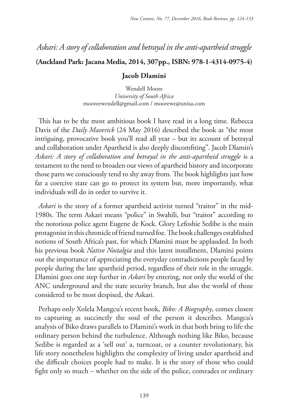# *Askari: A story of collaboration and betrayal in the anti-apartheid struggle*

### **(Auckland Park: Jacana Media, 2014, 307pp., ISBN: 978-1-4314-0975-4)**

### **Jacob Dlamini**

Wendell Moore *University of South Africa* mooreewendell@gmail.com / moorewe@unisa.com

This has to be the most ambitious book I have read in a long time. Rebecca Davis of the *Daily Maverick* (24 May 2016) described the book as "the most intriguing, provocative book you'll read all year – but its account of betrayal and collaboration under Apartheid is also deeply discomfiting". Jacob Dlamin's Askari: A story of collaboration and betrayal in the anti-apartheid struggle is a testament to the need to broaden our views of apartheid history and incorporate those parts we consciously tend to shy away from. The book highlights just how far a coercive state can go to protect its system but, more importantly, what individuals will do in order to survive it.

*Askari* is the story of a former apartheid activist turned "traitor" in the mid-1980s. The term Askari means "police" in Swahili, but "traitor" according to the notorious police agent Eugene de Kock. Glory Lefoshie Sedibe is the main protagonist in this chronicle of friend turned foe. The book challenges established notions of South Africa's past, for which Dlamini must be applauded. In both his previous book *Native Nostalgia* and this latest installment, Dlamini points out the importance of appreciating the everyday contradictions people faced by people during the late apartheid period, regardless of their role in the struggle. Dlamini goes one step further in *Askari* by entering, not only the world of the ANC underground and the state security branch, but also the world of those considered to be most despised, the Askari.

Perhaps only Xolela Mangcu's recent book, *Biko: A Biography*, comes closest to capturing as succinctly the soul of the person it describes*.* Mangcu's analysis of Biko draws parallels to Dlamini's work in that both bring to life the ordinary person behind the turbulence. Although nothing like Biko, because Sedibe is regarded as a 'sell out' a, turncoat, or a counter revolutionary, his life story nonetheless highlights the complexity of living under apartheid and the difficult choices people had to make. It is the story of those who could fight only so much – whether on the side of the police, comrades or ordinary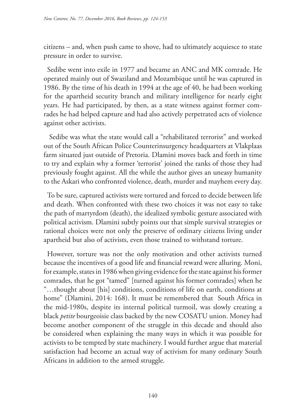citizens – and, when push came to shove, had to ultimately acquiesce to state pressure in order to survive.

Sedibe went into exile in 1977 and became an ANC and MK comrade. He operated mainly out of Swaziland and Mozambique until he was captured in 1986. By the time of his death in 1994 at the age of 40, he had been working for the apartheid security branch and military intelligence for nearly eight years. He had participated, by then, as a state witness against former comrades he had helped capture and had also actively perpetrated acts of violence against other activists.

 Sedibe was what the state would call a "rehabilitated terrorist" and worked out of the South African Police Counterinsurgency headquarters at Vlakplaas farm situated just outside of Pretoria. Dlamini moves back and forth in time to try and explain why a former 'terrorist' joined the ranks of those they had previously fought against. All the while the author gives an uneasy humanity to the Askari who confronted violence, death, murder and mayhem every day.

To be sure, captured activists were tortured and forced to decide between life and death. When confronted with these two choices it was not easy to take the path of martyrdom (death), the idealized symbolic gesture associated with political activism. Dlamini subtly points out that simple survival strategies or rational choices were not only the preserve of ordinary citizens living under apartheid but also of activists, even those trained to withstand torture.

However, torture was not the only motivation and other activists turned because the incentives of a good life and financial reward were alluring. Moni, for example, states in 1986 when giving evidence for the state against his former comrades, that he got "tamed" [turned against his former comrades] when he "…thought about [his] conditions, conditions of life on earth, conditions at home" (Dlamini, 2014: 168). It must be remembered that South Africa in the mid-1980s, despite its internal political turmoil, was slowly creating a black *petite* bourgeoisie class backed by the new COSATU union. Money had become another component of the struggle in this decade and should also be considered when explaining the many ways in which it was possible for activists to be tempted by state machinery. I would further argue that material satisfaction had become an actual way of activism for many ordinary South Africans in addition to the armed struggle.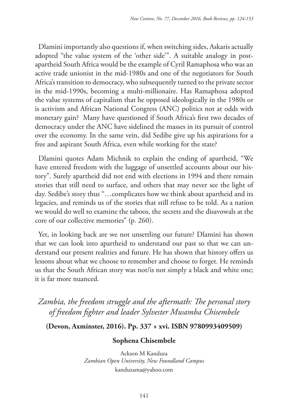Dlamini importantly also questions if, when switching sides, Askaris actually adopted "the value system of the 'other side'". A suitable analogy in postapartheid South Africa would be the example of Cyril Ramaphosa who was an active trade unionist in the mid-1980s and one of the negotiators for South Africa's transition to democracy, who subsequently turned to the private sector in the mid-1990s, becoming a multi-millionaire. Has Ramaphosa adopted the value systems of capitalism that he opposed ideologically in the 1980s or is activism and African National Congress (ANC) politics not at odds with monetary gain? Many have questioned if South Africa's first two decades of democracy under the ANC have sidelined the masses in its pursuit of control over the economy. In the same vein, did Sedibe give up his aspirations for a free and aspirant South Africa, even while working for the state?

Dlamini quotes Adam Michnik to explain the ending of apartheid, "We have entered freedom with the luggage of unsettled accounts about our history". Surely apartheid did not end with elections in 1994 and there remain stories that still need to surface, and others that may never see the light of day. Sedibe's story thus "…complicates how we think about apartheid and its legacies, and reminds us of the stories that still refuse to be told. As a nation we would do well to examine the taboos, the secrets and the disavowals at the core of our collective memories" (p. 260).

Yet, in looking back are we not unsettling our future? Dlamini has shown that we can look into apartheid to understand our past so that we can understand our present realities and future. He has shown that history offers us lessons about what we choose to remember and choose to forget. He reminds us that the South African story was not/is not simply a black and white one; it is far more nuanced.

*Zambia, the freedom struggle and the aftermath: The personal story of freedom fighter and leader Sylvester Mwamba Chisembele*

**(Devon, Axminster, 2016). Pp. 337 + xvi. ISBN 9780993409509)** 

### **Sophena Chisembele**

Ackson M Kanduza *Zambian Open University, New Foundland Campus* kanduzama@yahoo.com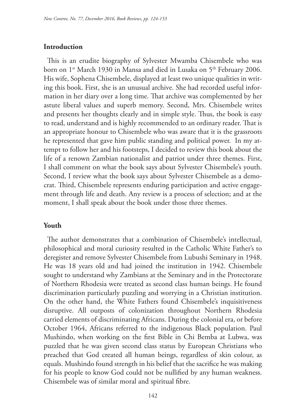### **Introduction**

This is an erudite biography of Sylvester Mwamba Chisembele who was born on 1<sup>st</sup> March 1930 in Mansa and died in Lusaka on 5<sup>th</sup> February 2006. His wife, Sophena Chisembele, displayed at least two unique qualities in writing this book. First, she is an unusual archive. She had recorded useful information in her diary over a long time. That archive was complemented by her astute liberal values and superb memory. Second, Mrs. Chisembele writes and presents her thoughts clearly and in simple style. Thus, the book is easy to read, understand and is highly recommended to an ordinary reader. That is an appropriate honour to Chisembele who was aware that it is the grassroots he represented that gave him public standing and political power. In my attempt to follow her and his footsteps, I decided to review this book about the life of a renown Zambian nationalist and patriot under three themes. First, I shall comment on what the book says about Sylvester Chisembele's youth. Second, I review what the book says about Sylvester Chisembele as a democrat. Third, Chisembele represents enduring participation and active engagement through life and death. Any review is a process of selection; and at the moment, I shall speak about the book under those three themes.

### **Youth**

The author demonstrates that a combination of Chisembele's intellectual, philosophical and moral curiosity resulted in the Catholic White Father's to deregister and remove Sylvester Chisembele from Lubushi Seminary in 1948. He was 18 years old and had joined the institution in 1942. Chisembele sought to understand why Zambians at the Seminary and in the Protectorate of Northern Rhodesia were treated as second class human beings. He found discrimination particularly puzzling and worrying in a Christian institution. On the other hand, the White Fathers found Chisembele's inquisitiveness disruptive. All outposts of colonization throughout Northern Rhodesia carried elements of discriminating Africans. During the colonial era, or before October 1964, Africans referred to the indigenous Black population. Paul Mushindo, when working on the first Bible in Chi Bemba at Lubwa, was puzzled that he was given second class status by European Christians who preached that God created all human beings, regardless of skin colour, as equals. Mushindo found strength in his belief that the sacrifice he was making for his people to know God could not be nullified by any human weakness. Chisembele was of similar moral and spiritual fibre.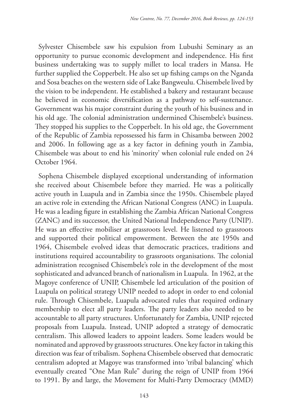Sylvester Chisembele saw his expulsion from Lubushi Seminary as an opportunity to pursue economic development and independence. His first business undertaking was to supply millet to local traders in Mansa. He further supplied the Copperbelt. He also set up fishing camps on the Nganda and Sosa beaches on the western side of Lake Bangweulu. Chisembele lived by the vision to be independent. He established a bakery and restaurant because he believed in economic diversification as a pathway to self-sustenance. Government was his major constraint during the youth of his business and in his old age. The colonial administration undermined Chisembele's business. They stopped his supplies to the Copperbelt. In his old age, the Government of the Republic of Zambia repossessed his farm in Chisamba between 2002 and 2006. In following age as a key factor in defining youth in Zambia, Chisembele was about to end his 'minority' when colonial rule ended on 24 October 1964.

Sophena Chisembele displayed exceptional understanding of information she received about Chisembele before they married. He was a politically active youth in Luapula and in Zambia since the 1950s. Chisembele played an active role in extending the African National Congress (ANC) in Luapula. He was a leading figure in establishing the Zambia African National Congress (ZANC) and its successor, the United National Independence Party (UNIP). He was an effective mobiliser at grassroots level. He listened to grassroots and supported their political empowerment. Between the ate 1950s and 1964, Chisembele evolved ideas that democratic practices, traditions and institutions required accountability to grassroots organisations. The colonial administration recognised Chisembele's role in the development of the most sophisticated and advanced branch of nationalism in Luapula. In 1962, at the Magoye conference of UNIP, Chisembele led articulation of the position of Luapula on political strategy UNIP needed to adopt in order to end colonial rule. Through Chisembele, Luapula advocated rules that required ordinary membership to elect all party leaders. The party leaders also needed to be accountable to all party structures. Unfortunately for Zambia, UNIP rejected proposals from Luapula. Instead, UNIP adopted a strategy of democratic centralism. This allowed leaders to appoint leaders. Some leaders would be nominated and approved by grassroots structures. One key factor in taking this direction was fear of tribalism. Sophena Chisembele observed that democratic centralism adopted at Magoye was transformed into 'tribal balancing' which eventually created "One Man Rule" during the reign of UNIP from 1964 to 1991. By and large, the Movement for Multi-Party Democracy (MMD)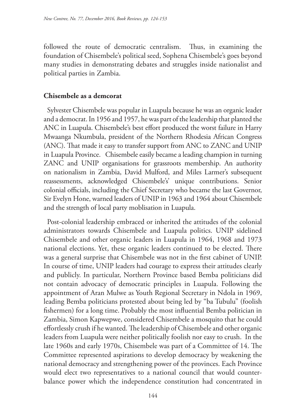followed the route of democratic centralism. Thus, in examining the foundation of Chisembele's political seed, Sophena Chisembele's goes beyond many studies in demonstrating debates and struggles inside nationalist and political parties in Zambia.

### **Chisembele as a demcorat**

Sylvester Chisembele was popular in Luapula because he was an organic leader and a democrat. In 1956 and 1957, he was part of the leadership that planted the ANC in Luapula. Chisembele's best effort produced the worst failure in Harry Mwaanga Nkumbula, president of the Northern Rhodesia African Congress (ANC). That made it easy to transfer support from ANC to ZANC and UNIP in Luapula Province. Chisembele easily became a leading champion in turning ZANC and UNIP organisations for grassroots membership. An authority on nationalism in Zambia, David Mulford, and Miles Larmer's subsequent reassessments, acknowledged Chisembele's' unique contributions. Senior colonial officials, including the Chief Secretary who became the last Governor, Sir Evelyn Hone, warned leaders of UNIP in 1963 and 1964 about Chisembele and the strength of local party moblisation in Luapula.

Post-colonial leadership embraced or inherited the attitudes of the colonial administrators towards Chisembele and Luapula politics. UNIP sidelined Chisembele and other organic leaders in Luapula in 1964, 1968 and 1973 national elections. Yet, these organic leaders continued to be elected. There was a general surprise that Chisembele was not in the first cabinet of UNIP. In course of time, UNIP leaders had courage to express their attitudes clearly and publicly. In particular, Northern Province based Bemba politicians did not contain advocacy of democratic principles in Luapula. Following the appointment of Aran Mulwe as Youth Regional Secretary in Ndola in 1969, leading Bemba politicians protested about being led by "ba Tubulu" (foolish fishermen) for a long time. Probably the most influential Bemba politician in Zambia, Simon Kapwepwe, considered Chisembele a mosquito that he could effortlessly crush if he wanted. The leadership of Chisembele and other organic leaders from Luapula were neither politically foolish nor easy to crush. In the late 1960s and early 1970s, Chisembele was part of a Committee of 14. The Committee represented aspirations to develop democracy by weakening the national democracy and strengthening power of the provinces. Each Province would elect two representatives to a national council that would counterbalance power which the independence constitution had concentrated in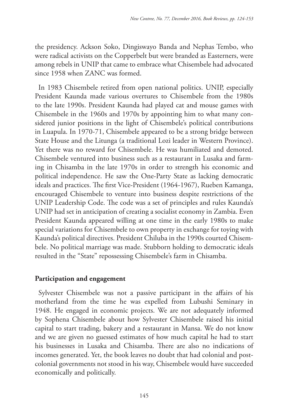the presidency. Ackson Soko, Dingiswayo Banda and Nephas Tembo, who were radical activists on the Copperbelt but were branded as Easterners, were among rebels in UNIP that came to embrace what Chisembele had advocated since 1958 when ZANC was formed.

In 1983 Chisembele retired from open national politics. UNIP, especially President Kaunda made various overtures to Chisembele from the 1980s to the late 1990s. President Kaunda had played cat and mouse games with Chisembele in the 1960s and 1970s by appointing him to what many considered junior positions in the light of Chisembele's political contributions in Luapula. In 1970-71, Chisembele appeared to be a strong bridge between State House and the Litunga (a traditional Lozi leader in Western Province). Yet there was no reward for Chisembele. He was humiliated and demoted. Chisembele ventured into business such as a restaurant in Lusaka and farming in Chisamba in the late 1970s in order to strength his economic and political independence. He saw the One-Party State as lacking democratic ideals and practices. The first Vice-President (1964-1967), Rueben Kamanga, encouraged Chisembele to venture into business despite restrictions of the UNIP Leadership Code. The code was a set of principles and rules Kaunda's UNIP had set in anticipation of creating a socialist economy in Zambia. Even President Kaunda appeared willing at one time in the early 1980s to make special variations for Chisembele to own property in exchange for toying with Kaunda's political directives. President Chiluba in the 1990s courted Chisembele. No political marriage was made. Stubborn holding to democratic ideals resulted in the "State" repossessing Chisembele's farm in Chisamba.

### **Participation and engagement**

Sylvester Chisembele was not a passive participant in the affairs of his motherland from the time he was expelled from Lubushi Seminary in 1948. He engaged in economic projects. We are not adequately informed by Sophena Chisembele about how Sylvester Chisembele raised his initial capital to start trading, bakery and a restaurant in Mansa. We do not know and we are given no guessed estimates of how much capital he had to start his businesses in Lusaka and Chisamba. There are also no indications of incomes generated. Yet, the book leaves no doubt that had colonial and postcolonial governments not stood in his way, Chisembele would have succeeded economically and politically.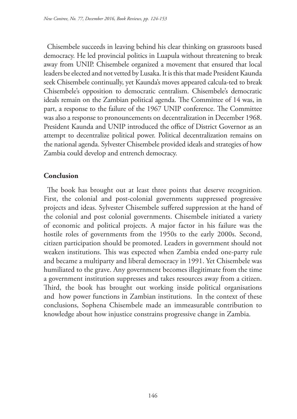Chisembele succeeds in leaving behind his clear thinking on grassroots based democracy. He led provincial politics in Luapula without threatening to break away from UNIP. Chisembele organized a movement that ensured that local leaders be elected and not vetted by Lusaka. It is this that made President Kaunda seek Chisembele continually, yet Kaunda's moves appeared calcula-ted to break Chisembele's opposition to democratic centralism. Chisembele's democratic ideals remain on the Zambian political agenda. The Committee of 14 was, in part, a response to the failure of the 1967 UNIP conference. The Committee was also a response to pronouncements on decentralization in December 1968. President Kaunda and UNIP introduced the office of District Governor as an attempt to decentralize political power. Political decentralization remains on the national agenda. Sylvester Chisembele provided ideals and strategies of how Zambia could develop and entrench democracy.

## **Conclusion**

The book has brought out at least three points that deserve recognition. First, the colonial and post-colonial governments suppressed progressive projects and ideas. Sylvester Chisembele suffered suppression at the hand of the colonial and post colonial governments. Chisembele initiated a variety of economic and political projects. A major factor in his failure was the hostile roles of governments from the 1950s to the early 2000s. Second, citizen participation should be promoted. Leaders in government should not weaken institutions. This was expected when Zambia ended one-party rule and became a multiparty and liberal democracy in 1991. Yet Chisembele was humiliated to the grave. Any government becomes illegitimate from the time a government institution suppresses and takes resources away from a citizen. Third, the book has brought out working inside political organisations and how power functions in Zambian institutions. In the context of these conclusions, Sophena Chisembele made an immeasurable contribution to knowledge about how injustice constrains progressive change in Zambia.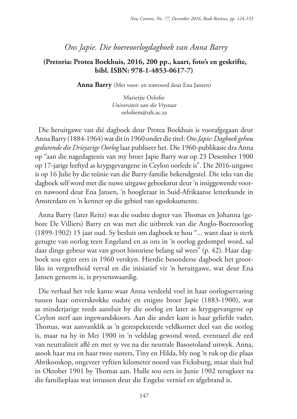## *Ons Japie. Die boereoorlogdagboek van Anna Barry*

### **(Pretoria: Protea Boekhuis, 2016, 200 pp., kaart, foto's en geskrifte, bibl. ISBN: 978-1-4853-0617-7)**

**Anna Barry** (Met voor- en nawoord deur Ena Jansen)

Marietjie Oelofse *Universiteit van die Vrystaat* oelofsem@ufs.ac.za

Die heruitgawe van dié dagboek deur Protea Boekhuis is voorafgegaan deur Anna Barry (1884-1964) wat dit in 1960 onder die titel: *Ons Japie: Dagboek gehou gedurende die Driejarige Oorlog* laat publiseer het*.* Die 1960-publikasie dra Anna op "aan die nagedagtenis van my broer Japie Barry wat op 23 Desember 1900 op 17-jarige leeftyd as krygsgevangene in Ceylon oorlede is". Die 2016-uitgawe is op 16 Julie by die reünie van die Barry-familie bekendgestel. Die teks van die dagboek self word met die nuwe uitgawe geboekstut deur 'n insiggewende vooren nawoord deur Ena Jansen, 'n hoogleraar in Suid-Afrikaanse letterkunde in Amsterdam en 'n kenner op die gebied van egodokumente.

Anna Barry (later Reitz) was die oudste dogter van Thomas en Johanna (gebore De Villiers) Barry en was met die uitbreek van die Anglo-Boereoorlog (1899-1902) 15 jaar oud. Sy besluit om dagboek te hou "... want daar is sterk gerugte van oorlog teen Engeland en as ons in 'n oorlog gedompel word, sal daar dinge gebeur wat van groot historiese belang sal wees" (p. 42). Haar dagboek sou egter eers in 1960 verskyn. Hierdie besonderse dagboek het grootliks in vergetelheid verval en die inisiatief vir 'n heruitgawe, wat deur Ena Jansen geneem is, is prysenswaardig.

Die verhaal het vele kante waar Anna verdeeld voel in haar oorlogservaring tussen haar onverskrokke oudste en enigste broer Japie (1883-1900), wat as minderjarige reeds aansluit by die oorlog en later as krygsgevangene op Ceylon sterf aan ingewandskoors. Aan die ander kant is haar geliefde vader, Thomas, wat aanvanklik as 'n gerespekteerde veldkornet deel van die oorlog is, maar na hy in Mei 1900 in 'n veldslag gewond word, eventueel die eed van neutraliteit aflê en met sy vee na die neutrale Basoetoland uitwyk. Anna, asook haar ma en haar twee susters, Tiny en Hilda, bly nog 'n ruk op die plaas Abrikooskop, ongeveer vyftien kilometer noord van Ficksburg, maar sluit hul in Oktober 1901 by Thomas aan. Hulle sou eers in Junie 1902 terugkeer na die familieplaas wat intussen deur die Engelse verniel en afgebrand is.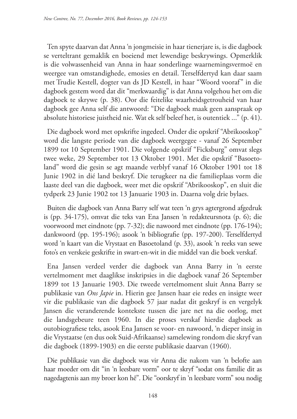Ten spyte daarvan dat Anna 'n jongmeisie in haar tienerjare is, is die dagboek se verteltrant gemaklik en boeiend met lewendige beskrywings. Opmerklik is die volwassenheid van Anna in haar sonderlinge waarnemingsvermoë en weergee van omstandighede, emosies en detail. Terselfdertyd kan daar saam met Trudie Kestell, dogter van ds JD Kestell, in haar "Woord vooraf" in die dagboek gestem word dat dit "merkwaardig" is dat Anna volgehou het om die dagboek te skrywe (p. 38). Oor die feitelike waarheidsgetrouheid van haar dagboek gee Anna self die antwoord: "Die dagboek maak geen aanspraak op absolute historiese juistheid nie. Wat ek self beleef het, is outentiek ..." (p. 41).

Die dagboek word met opskrifte ingedeel. Onder die opskrif "Abrikooskop" word die langste periode van die dagboek weergegee - vanaf 26 September 1899 tot 10 September 1901. Die volgende opskrif "Ficksburg" omvat slegs twee weke, 29 September tot 13 Oktober 1901. Met die opskrif "Basoetoland" word die gesin se agt maande verblyf vanaf 16 Oktober 1901 tot 18 Junie 1902 in dié land beskryf. Die terugkeer na die familieplaas vorm die laaste deel van die dagboek, weer met die opskrif "Abrikooskop", en sluit die tydperk 23 Junie 1902 tot 13 Januarie 1903 in. Daarna volg drie bylaes.

Buiten die dagboek van Anna Barry self wat teen 'n grys agtergrond afgedruk is (pp. 34-175), omvat die teks van Ena Jansen 'n redakteursnota (p. 6); die voorwoord met eindnote (pp. 7-32); die nawoord met eindnote (pp. 176-194); dankwoord (pp. 195-196); asook 'n bibliografie (pp. 197-200). Terselfdertyd word 'n kaart van die Vrystaat en Basoetoland (p. 33), asook 'n reeks van sewe foto's en verskeie geskrifte in swart-en-wit in die middel van die boek verskaf.

Ena Jansen verdeel verder die dagboek van Anna Barry in 'n eerste vertelmoment met daaglikse inskripsies in die dagboek vanaf 26 September 1899 tot 13 Januarie 1903. Die tweede vertelmoment sluit Anna Barry se publikasie van *Ons Japie* in. Hierin gee Jansen haar eie redes en insigte weer vir die publikasie van die dagboek 57 jaar nadat dit geskryf is en vergelyk Jansen die veranderende kontekste tussen die jare net na die oorlog, met die landsgebeure teen 1960. In die proses verskaf hierdie dagboek as outobiografiese teks, asook Ena Jansen se voor- en nawoord, 'n dieper insig in die Vrystaatse (en dus ook Suid-Afrikaanse) samelewing rondom die skryf van die dagboek (1899-1903) en die eerste publikasie daarvan (1960).

Die publikasie van die dagboek was vir Anna die nakom van 'n belofte aan haar moeder om dit "in 'n leesbare vorm" oor te skryf "sodat ons familie dit as nagedagtenis aan my broer kon hê". Die "oorskryf in 'n leesbare vorm" sou nodig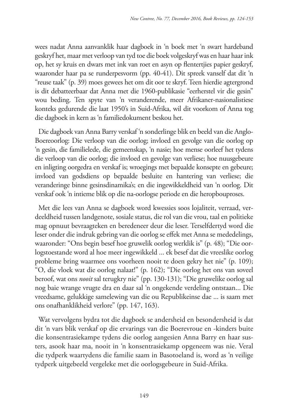wees nadat Anna aanvanklik haar dagboek in 'n boek met 'n swart hardeband geskryf het, maar met verloop van tyd toe die boek volgeskryf was en haar haar ink op, het sy kruis en dwars met ink van roet en asyn op flentertjies papier geskryf, waaronder haar pa se runderpesvorm (pp. 40-41). Dit spreek vanself dat dit 'n "reuse taak" (p. 39) moes gewees het om dit oor te skryf. Teen hierdie agtergrond is dit debatteerbaar dat Anna met die 1960-publikasie "eerherstel vir die gesin" wou beding. Ten spyte van 'n veranderende, meer Afrikaner-nasionalistiese konteks gedurende die laat 1950's in Suid-Afrika, wil dit voorkom of Anna tog die dagboek in kern as 'n familiedokument beskou het.

Die dagboek van Anna Barry verskaf 'n sonderlinge blik en beeld van die Anglo-Boereoorlog: Die verloop van die oorlog; invloed en gevolge van die oorlog op 'n gesin, die familielede, die gemeenskap, 'n nasie; hoe mense oorleef het tydens die verloop van die oorlog; die invloed en gevolge van verliese; hoe nuusgebeure en inligting oorgedra en verskaf is; wroegings met bepaalde konsepte en gebeure; invloed van godsdiens op bepaalde besluite en hantering van verliese; die veranderinge binne gesinsdinamika's; en die ingewikkeldheid van 'n oorlog. Dit verskaf ook 'n intieme blik op die na-oorlogse periode en die heropbouproses.

Met die lees van Anna se dagboek word kwessies soos lojaliteit, verraad, verdeeldheid tussen landgenote, sosiale status, die rol van die vrou, taal en politieke mag opnuut bevraagteken en beredeneer deur die leser. Terselfdertyd word die leser onder die indruk gebring van die oorlog se effek met Anna se mededelings, waaronder: "Ons begin besef hoe gruwelik oorlog werklik is" (p. 48); "Die oorlogstoestande word al hoe meer ingewikkeld ... ek besef dat die vreeslike oorlog probleme bring waarmee ons voorheen nooit te doen gekry het nie" (p. 109); "O, die vloek wat die oorlog nalaat!" (p. 162); "Die oorlog het ons van soveel beroof, wat ons *nooit* sal terugkry nie" (pp. 130-131); "Die gruwelike oorlog sal nog baie wrange vrugte dra en daar sal 'n ongekende verdeling ontstaan... Die vreedsame, gelukkige samelewing van die ou Republikeinse dae ... is saam met ons onafhanklikheid verlore" (pp. 147, 163).

Wat vervolgens bydra tot die dagboek se andersheid en besondersheid is dat dit 'n vars blik verskaf op die ervarings van die Boerevroue en -kinders buite die konsentrasiekampe tydens die oorlog aangesien Anna Barry en haar susters, asook haar ma, nooit in 'n konsentrasiekamp opgeneem was nie. Veral die tydperk waartydens die familie saam in Basotoeland is, word as 'n veilige tydperk uitgebeeld vergeleke met die oorlogsgebeure in Suid-Afrika.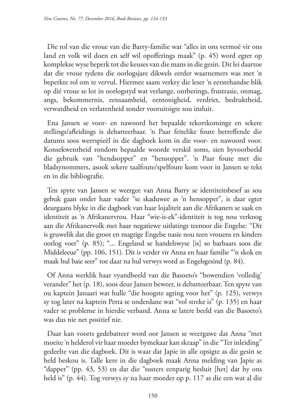Die rol van die vroue van die Barry-familie wat "alles in ons vermoë vir ons land en volk wil doen en self wil opofferings maak" (p. 45) word egter op komplekse wyse beperk tot die keuses van die mans in die gesin. Dit lei daartoe dat die vroue tydens die oorlogsjare dikwels eerder waarnemers was met 'n beperkte rol om te vervul. Hiermee saam verkry die leser 'n eerstehandse blik op dié vroue se lot in oorlogstyd wat verlange, ontberings, frustrasie, onmag, angs, bekommernis, eensaamheid, eentonigheid, verdriet, bedruktheid, verwardheid en verlatenheid sonder vooruitsigte sou insluit.

Ena Jansen se voor- en nawoord het bepaalde tekortkominge en sekere stellings/afleidings is debatteerbaar. 'n Paar feitelike foute betreffende die datums soos weerspieël in die dagboek kom in die voor- en nawoord voor. Konsekwentheid rondom bepaalde woorde verskil soms, sien byvoorbeeld die gebruik van "hendsopper" en "hensopper". 'n Paar foute met die bladsynommers, asook sekere taalfoute/spelfoute kom voor in Jansen se teks en in die bibliografie.

Ten spyte van Jansen se weergee van Anna Barry se identiteitsbesef as sou gebuk gaan onder haar vader "se skaduwee as 'n hensopper", is daar egter deurgaans blyke in die dagboek van haar lojaliteit aan die Afrikaners se saak en identiteit as 'n Afrikanervrou. Haar "wie-is-ek"-identiteit is tog nou verknog aan die Afrikanervolk met haar negatiewe uitlatings teenoor die Engelse: "Dit is gruwelik dat die groot en magtige Engelse nasie nou teen vrouens en kinders oorlog voer" (p. 85); "... Engeland se handelswyse [is] so barbaars soos die Middeleeue" (pp. 106, 151). Dit is verder vir Anna en haar familie "'n skok en maak hul baie seer" toe daar na hul verwys word as Engelsgesind (p. 84).

Of Anna werklik haar vyandbeeld van die Basoeto's "bowendien 'volledig' verander" het (p. 18), soos deur Jansen beweer, is debatteerbaar. Ten spyte van ou kaptein Januari wat hulle "die hoogste agting voor het" (p. 125), verwys sy tog later na kaptein Petta se onderdane wat "vol streke is" (p. 135) en haar vader se probleme in hierdie verband. Anna se latere beeld van die Basoeto's was dus nie net positief nie.

Daar kan voorts gedebatteer word oor Jansen se weergawe dat Anna "met moeite 'n helderol vir haar moeder bymekaar kan skraap" in die "Ter inleiding" gedeelte van die dagboek. Dit is waar dat Japie in alle opsigte as die gesin se held beskou is. Talle kere in die dagboek maak Anna melding van Japie as "dapper" (pp. 43, 53) en dat die "susters eenparig besluit [het] dat hy ons held is" (p. 44). Tog verwys sy na haar moeder op p. 117 as die een wat al die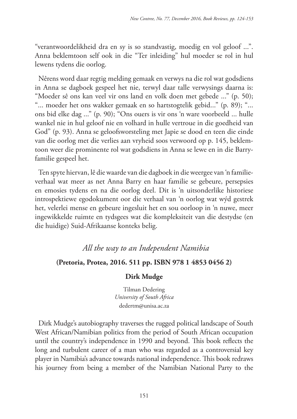"verantwoordelikheid dra en sy is so standvastig, moedig en vol geloof ...". Anna beklemtoon self ook in die "Ter inleiding" hul moeder se rol in hul lewens tydens die oorlog.

Nêrens word daar regtig melding gemaak en verwys na die rol wat godsdiens in Anna se dagboek gespeel het nie, terwyl daar talle verwysings daarna is: "Moeder sê ons kan veel vir ons land en volk doen met gebede ..." (p. 50); "... moeder het ons wakker gemaak en so hartstogtelik gebid..." (p. 89); "... ons bid elke dag ..." (p. 90); "Ons ouers is vir ons 'n ware voorbeeld ... hulle wankel nie in hul geloof nie en volhard in hulle vertroue in die goedheid van God" (p. 93). Anna se geloofsworsteling met Japie se dood en teen die einde van die oorlog met die verlies aan vryheid soos verwoord op p. 145, beklemtoon weer die prominente rol wat godsdiens in Anna se lewe en in die Barryfamilie gespeel het.

Ten spyte hiervan, lê die waarde van die dagboek in die weergee van 'n familieverhaal wat meer as net Anna Barry en haar familie se gebeure, persepsies en emosies tydens en na die oorlog deel. Dit is 'n uitsonderlike historiese introspektiewe egodokument oor die verhaal van 'n oorlog wat wýd gestrek het, velerlei mense en gebeure ingesluit het en sou oorloop in 'n nuwe, meer ingewikkelde ruimte en tydsgees wat die kompleksiteit van die destydse (en die huidige) Suid-Afrikaanse konteks belig.

### *All the way to an Independent Namibia*

### **(Pretoria, Protea, 2016. 511 pp. ISBN 978 1 4853 0456 2)**

### **Dirk Mudge**

Tilman Dedering *University of South Africa* dedertm@unisa.ac.za

Dirk Mudge's autobiography traverses the rugged political landscape of South West African/Namibian politics from the period of South African occupation until the country's independence in 1990 and beyond. This book reflects the long and turbulent career of a man who was regarded as a controversial key player in Namibia's advance towards national independence. This book redraws his journey from being a member of the Namibian National Party to the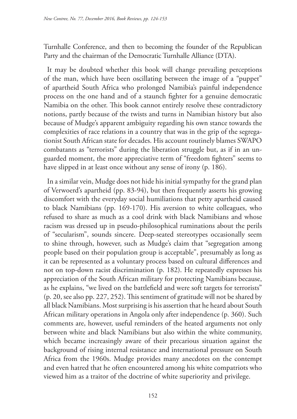Turnhalle Conference, and then to becoming the founder of the Republican Party and the chairman of the Democratic Turnhalle Alliance (DTA).

It may be doubted whether this book will change prevailing perceptions of the man, which have been oscillating between the image of a "puppet" of apartheid South Africa who prolonged Namibia's painful independence process on the one hand and of a staunch fighter for a genuine democratic Namibia on the other. This book cannot entirely resolve these contradictory notions, partly because of the twists and turns in Namibian history but also because of Mudge's apparent ambiguity regarding his own stance towards the complexities of race relations in a country that was in the grip of the segregationist South African state for decades. His account routinely blames SWAPO combatants as "terrorists" during the liberation struggle but, as if in an unguarded moment, the more appreciative term of "freedom fighters" seems to have slipped in at least once without any sense of irony (p. 186).

In a similar vein, Mudge does not hide his initial sympathy for the grand plan of Verwoerd's apartheid (pp. 83-94), but then frequently asserts his growing discomfort with the everyday social humiliations that petty apartheid caused to black Namibians (pp. 169-170). His aversion to white colleagues, who refused to share as much as a cool drink with black Namibians and whose racism was dressed up in pseudo-philosophical ruminations about the perils of "secularism", sounds sincere. Deep-seated stereotypes occasionally seem to shine through, however, such as Mudge's claim that "segregation among people based on their population group is acceptable", presumably as long as it can be represented as a voluntary process based on cultural differences and not on top-down racist discrimination (p. 182). He repeatedly expresses his appreciation of the South African military for protecting Namibians because, as he explains, "we lived on the battlefield and were soft targets for terrorists" (p. 20, see also pp. 227, 252). This sentiment of gratitude will not be shared by all black Namibians. Most surprising is his assertion that he heard about South African military operations in Angola only after independence (p. 360). Such comments are, however, useful reminders of the heated arguments not only between white and black Namibians but also within the white community, which became increasingly aware of their precarious situation against the background of rising internal resistance and international pressure on South Africa from the 1960s. Mudge provides many anecdotes on the contempt and even hatred that he often encountered among his white compatriots who viewed him as a traitor of the doctrine of white superiority and privilege.